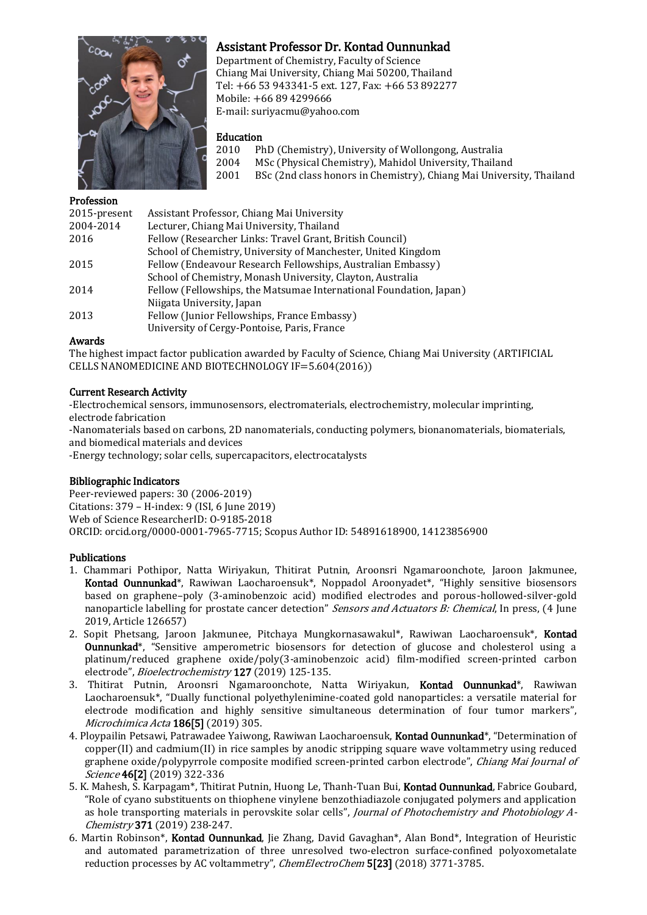

# Assistant Professor Dr. Kontad Ounnunkad

Department of Chemistry, Faculty of Science Chiang Mai University, Chiang Mai 50200, Thailand Tel: +66 53 943341-5 ext. 127, Fax: +66 53 892277 Mobile: +66 89 4299666 E-mail: suriyacmu@yahoo.com

## Education

- 2010 PhD (Chemistry), University of Wollongong, Australia
- 2004 MSc (Physical Chemistry), Mahidol University, Thailand
- 2001 BSc (2nd class honors in Chemistry), Chiang Mai University, Thailand

### Profession

| 2015-present | Assistant Professor, Chiang Mai University                         |
|--------------|--------------------------------------------------------------------|
| 2004-2014    | Lecturer, Chiang Mai University, Thailand                          |
| 2016         | Fellow (Researcher Links: Travel Grant, British Council)           |
|              | School of Chemistry, University of Manchester, United Kingdom      |
| 2015         | Fellow (Endeavour Research Fellowships, Australian Embassy)        |
|              | School of Chemistry, Monash University, Clayton, Australia         |
| 2014         | Fellow (Fellowships, the Matsumae International Foundation, Japan) |
|              | Niigata University, Japan                                          |
| 2013         | Fellow (Junior Fellowships, France Embassy)                        |
|              | University of Cergy-Pontoise, Paris, France                        |

### Awards

The highest impact factor publication awarded by Faculty of Science, Chiang Mai University (ARTIFICIAL CELLS NANOMEDICINE AND BIOTECHNOLOGY IF=5.604(2016))

### Current Research Activity

-Electrochemical sensors, immunosensors, electromaterials, electrochemistry, molecular imprinting, electrode fabrication

-Nanomaterials based on carbons, 2D nanomaterials, conducting polymers, bionanomaterials, biomaterials, and biomedical materials and devices

-Energy technology; solar cells, supercapacitors, electrocatalysts

## Bibliographic Indicators

Peer-reviewed papers: 30 (2006-2019) Citations: 379 – H-index: 9 (ISI, 6 June 2019) Web of Science ResearcherID: O-9185-2018 ORCID: orcid.org/0000-0001-7965-7715; Scopus Author ID: 54891618900, 14123856900

#### Publications

- 1. Chammari Pothipor, Natta Wiriyakun, Thitirat Putnin, Aroonsri Ngamaroonchote, Jaroon Jakmunee, Kontad Ounnunkad\*, Rawiwan Laocharoensuk\*, Noppadol Aroonyadet\*, "Highly sensitive biosensors based on graphene–poly (3-aminobenzoic acid) modified electrodes and porous-hollowed-silver-gold nanoparticle labelling for prostate cancer detection" Sensors and Actuators B: Chemical, In press, (4 June 2019, Article 126657)
- 2. Sopit Phetsang, Jaroon Jakmunee, Pitchaya Mungkornasawakul\*, Rawiwan Laocharoensuk\*, Kontad Ounnunkad\*, "Sensitive amperometric biosensors for detection of glucose and cholesterol using a platinum/reduced graphene oxide/poly(3-aminobenzoic acid) film-modified screen-printed carbon electrode", Bioelectrochemistry 127 (2019) 125-135.
- 3. Thitirat Putnin, Aroonsri Ngamaroonchote, Natta Wiriyakun, Kontad Ounnunkad\*, Rawiwan Laocharoensuk\*, "Dually functional polyethylenimine-coated gold nanoparticles: a versatile material for electrode modification and highly sensitive simultaneous determination of four tumor markers", Microchimica Acta 186<sup>[5]</sup> (2019) 305.
- 4. Ploypailin Petsawi, Patrawadee Yaiwong, Rawiwan Laocharoensuk, Kontad Ounnunkad\*, "Determination of copper(II) and cadmium(II) in rice samples by anodic stripping square wave voltammetry using reduced graphene oxide/polypyrrole composite modified screen-printed carbon electrode", *Chiang Mai Journal of* Science 46[2] (2019) 322-336
- 5. K. Mahesh, S. Karpagam\*, Thitirat Putnin, Huong Le, Thanh-Tuan Bui, Kontad Ounnunkad, Fabrice Goubard, "Role of cyano substituents on thiophene vinylene benzothiadiazole conjugated polymers and application as hole transporting materials in perovskite solar cells", Journal of Photochemistry and Photobiology A-Chemistry 371 (2019) 238-247.
- 6. Martin Robinson\*, Kontad Ounnunkad, Jie Zhang, David Gavaghan\*, Alan Bond\*, Integration of Heuristic and automated parametrization of three unresolved two-electron surface-confined polyoxometalate reduction processes by AC voltammetry", ChemElectroChem 5[23] (2018) 3771-3785.